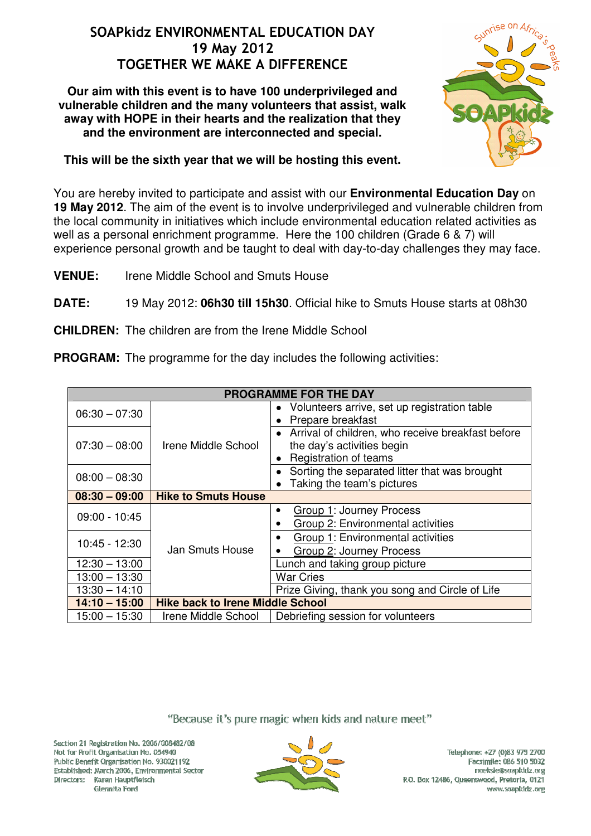## SOAPkidz ENVIRONMENTAL EDUCATION DAY 19 May 2012 TOGETHER WE MAKE A DIFFERENCE

**Our aim with this event is to have 100 underprivileged and vulnerable children and the many volunteers that assist, walk away with HOPE in their hearts and the realization that they and the environment are interconnected and special.**



**This will be the sixth year that we will be hosting this event.** 

You are hereby invited to participate and assist with our **Environmental Education Day** on **19 May 2012**. The aim of the event is to involve underprivileged and vulnerable children from the local community in initiatives which include environmental education related activities as well as a personal enrichment programme. Here the 100 children (Grade 6 & 7) will experience personal growth and be taught to deal with day-to-day challenges they may face.

**VENUE:** Irene Middle School and Smuts House

**DATE:** 19 May 2012: **06h30 till 15h30**. Official hike to Smuts House starts at 08h30

**CHILDREN:** The children are from the Irene Middle School

**PROGRAM:** The programme for the day includes the following activities:

| <b>PROGRAMME FOR THE DAY</b> |                                         |                                                                                                                       |
|------------------------------|-----------------------------------------|-----------------------------------------------------------------------------------------------------------------------|
| $06:30 - 07:30$              | Irene Middle School                     | • Volunteers arrive, set up registration table<br>Prepare breakfast                                                   |
| $07:30 - 08:00$              |                                         | Arrival of children, who receive breakfast before<br>the day's activities begin<br>Registration of teams<br>$\bullet$ |
| $08:00 - 08:30$              |                                         | Sorting the separated litter that was brought<br>• Taking the team's pictures                                         |
| $08:30 - 09:00$              | <b>Hike to Smuts House</b>              |                                                                                                                       |
| 09:00 - 10:45                | Jan Smuts House                         | <b>Group 1: Journey Process</b><br>$\bullet$<br>Group 2: Environmental activities<br>$\bullet$                        |
| $10:45 - 12:30$              |                                         | Group 1: Environmental activities<br>$\bullet$<br>Group 2: Journey Process                                            |
| 12:30 - 13:00                |                                         | Lunch and taking group picture                                                                                        |
| $13:00 - 13:30$              |                                         | <b>War Cries</b>                                                                                                      |
| $13:30 - 14:10$              |                                         | Prize Giving, thank you song and Circle of Life                                                                       |
| $14:10 - 15:00$              | <b>Hike back to Irene Middle School</b> |                                                                                                                       |
| 15:00 - 15:30                | Irene Middle School                     | Debriefing session for volunteers                                                                                     |

"Because it's pure magic when kids and nature meet"

Section 21 Registration No. 2006/008482/08 Not for Profit Organisation No. 054940 Public Benefit Organisation No. 930071197 Established: March 2006, Environmental Sector Directors: Karen Hauptfleisch Glennita Ford